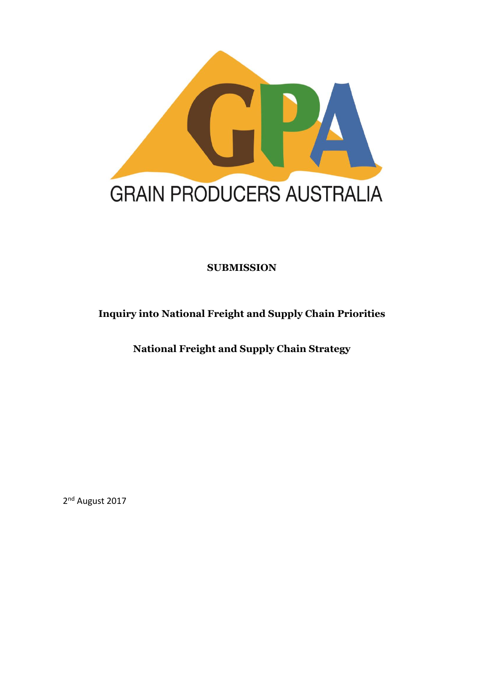

# **SUBMISSION**

# **Inquiry into National Freight and Supply Chain Priorities**

**National Freight and Supply Chain Strategy**

2<sup>nd</sup> August 2017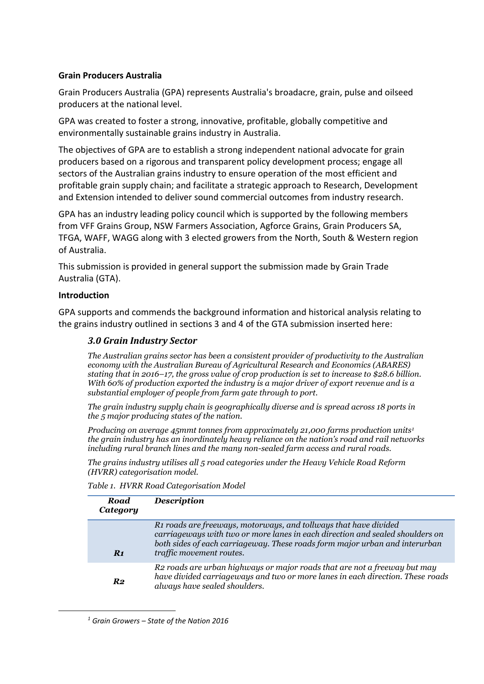### **Grain Producers Australia**

Grain Producers Australia (GPA) represents Australia's broadacre, grain, pulse and oilseed producers at the national level.

GPA was created to foster a strong, innovative, profitable, globally competitive and environmentally sustainable grains industry in Australia.

The objectives of GPA are to establish a strong independent national advocate for grain producers based on a rigorous and transparent policy development process; engage all sectors of the Australian grains industry to ensure operation of the most efficient and profitable grain supply chain; and facilitate a strategic approach to Research, Development and Extension intended to deliver sound commercial outcomes from industry research.

GPA has an industry leading policy council which is supported by the following members from VFF Grains Group, NSW Farmers Association, Agforce Grains, Grain Producers SA, TFGA, WAFF, WAGG along with 3 elected growers from the North, South & Western region of Australia.

This submission is provided in general support the submission made by Grain Trade Australia (GTA).

#### **Introduction**

1

GPA supports and commends the background information and historical analysis relating to the grains industry outlined in sections 3 and 4 of the GTA submission inserted here:

### *3.0 Grain Industry Sector*

*The Australian grains sector has been a consistent provider of productivity to the Australian economy with the Australian Bureau of Agricultural Research and Economics (ABARES) stating that in 2016–17, the gross value of crop production is set to increase to \$28.6 billion. With 60% of production exported the industry is a major driver of export revenue and is a substantial employer of people from farm gate through to port.* 

*The grain industry supply chain is geographically diverse and is spread across 18 ports in the 5 major producing states of the nation.* 

*Producing on average 45mmt tonnes from approximately 21,000 farms production units<sup>1</sup> the grain industry has an inordinately heavy reliance on the nation's road and rail networks including rural branch lines and the many non-sealed farm access and rural roads.* 

*The grains industry utilises all 5 road categories under the Heavy Vehicle Road Reform (HVRR) categorisation model.* 

| Road<br>Category | <b>Description</b>                                                                                                                                                                                                                                                       |
|------------------|--------------------------------------------------------------------------------------------------------------------------------------------------------------------------------------------------------------------------------------------------------------------------|
| $R_1$            | R <sub>1</sub> roads are freeways, motorways, and tollways that have divided<br>carriageways with two or more lanes in each direction and sealed shoulders on<br>both sides of each carriageway. These roads form major urban and interurban<br>traffic movement routes. |
| R <sub>2</sub>   | R2 roads are urban highways or major roads that are not a freeway but may<br>have divided carriageways and two or more lanes in each direction. These roads<br>always have sealed shoulders.                                                                             |

*<sup>1</sup> Grain Growers – State of the Nation 2016*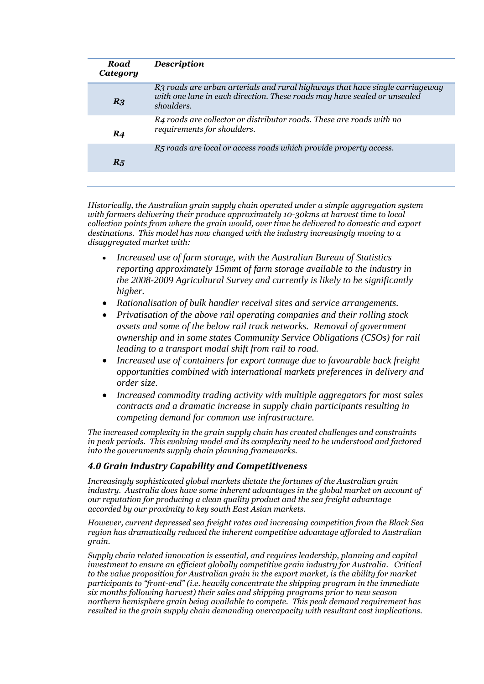| Road<br>Category  | <b>Description</b>                                                                                                                                                     |
|-------------------|------------------------------------------------------------------------------------------------------------------------------------------------------------------------|
| R <sub>3</sub>    | R3 roads are urban arterials and rural highways that have single carriageway<br>with one lane in each direction. These roads may have sealed or unsealed<br>shoulders. |
| $\boldsymbol{R4}$ | R4 roads are collector or distributor roads. These are roads with no<br>requirements for shoulders.                                                                    |
| $R_5$             | R5 roads are local or access roads which provide property access.                                                                                                      |

*Historically, the Australian grain supply chain operated under a simple aggregation system with farmers delivering their produce approximately 10-30kms at harvest time to local collection points from where the grain would, over time be delivered to domestic and export destinations. This model has now changed with the industry increasingly moving to a disaggregated market with:*

- *Increased use of farm storage, with the Australian Bureau of Statistics reporting approximately 15mmt of farm storage available to the industry in the 2008-2009 Agricultural Survey and currently is likely to be significantly higher.*
- *Rationalisation of bulk handler receival sites and service arrangements.*
- *Privatisation of the above rail operating companies and their rolling stock assets and some of the below rail track networks. Removal of government ownership and in some states Community Service Obligations (CSOs) for rail leading to a transport modal shift from rail to road.*
- *Increased use of containers for export tonnage due to favourable back freight opportunities combined with international markets preferences in delivery and order size.*
- *Increased commodity trading activity with multiple aggregators for most sales contracts and a dramatic increase in supply chain participants resulting in competing demand for common use infrastructure.*

*The increased complexity in the grain supply chain has created challenges and constraints in peak periods. This evolving model and its complexity need to be understood and factored into the governments supply chain planning frameworks.*

#### *4.0 Grain Industry Capability and Competitiveness*

*Increasingly sophisticated global markets dictate the fortunes of the Australian grain industry. Australia does have some inherent advantages in the global market on account of our reputation for producing a clean quality product and the sea freight advantage accorded by our proximity to key south East Asian markets.* 

*However, current depressed sea freight rates and increasing competition from the Black Sea region has dramatically reduced the inherent competitive advantage afforded to Australian grain.* 

*Supply chain related innovation is essential, and requires leadership, planning and capital investment to ensure an efficient globally competitive grain industry for Australia. Critical to the value proposition for Australian grain in the export market, is the ability for market participants to "front-end" (i.e. heavily concentrate the shipping program in the immediate six months following harvest) their sales and shipping programs prior to new season northern hemisphere grain being available to compete. This peak demand requirement has resulted in the grain supply chain demanding overcapacity with resultant cost implications.*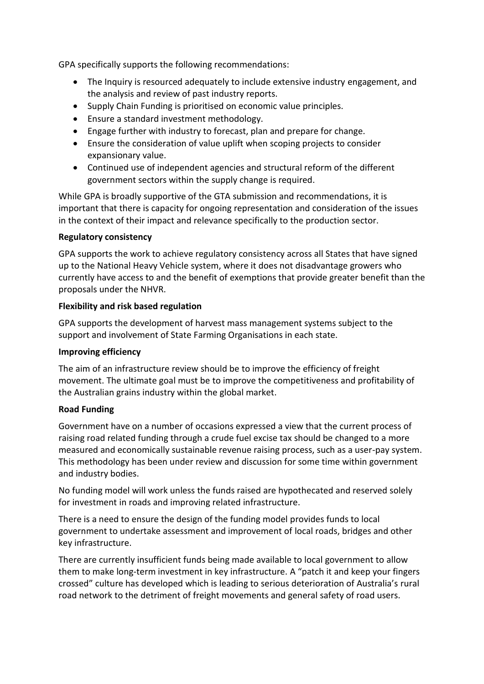GPA specifically supports the following recommendations:

- The Inquiry is resourced adequately to include extensive industry engagement, and the analysis and review of past industry reports.
- Supply Chain Funding is prioritised on economic value principles.
- Ensure a standard investment methodology.
- Engage further with industry to forecast, plan and prepare for change.
- Ensure the consideration of value uplift when scoping projects to consider expansionary value.
- Continued use of independent agencies and structural reform of the different government sectors within the supply change is required.

While GPA is broadly supportive of the GTA submission and recommendations, it is important that there is capacity for ongoing representation and consideration of the issues in the context of their impact and relevance specifically to the production sector.

### **Regulatory consistency**

GPA supports the work to achieve regulatory consistency across all States that have signed up to the National Heavy Vehicle system, where it does not disadvantage growers who currently have access to and the benefit of exemptions that provide greater benefit than the proposals under the NHVR.

### **Flexibility and risk based regulation**

GPA supports the development of harvest mass management systems subject to the support and involvement of State Farming Organisations in each state.

# **Improving efficiency**

The aim of an infrastructure review should be to improve the efficiency of freight movement. The ultimate goal must be to improve the competitiveness and profitability of the Australian grains industry within the global market.

# **Road Funding**

Government have on a number of occasions expressed a view that the current process of raising road related funding through a crude fuel excise tax should be changed to a more measured and economically sustainable revenue raising process, such as a user-pay system. This methodology has been under review and discussion for some time within government and industry bodies.

No funding model will work unless the funds raised are hypothecated and reserved solely for investment in roads and improving related infrastructure.

There is a need to ensure the design of the funding model provides funds to local government to undertake assessment and improvement of local roads, bridges and other key infrastructure.

There are currently insufficient funds being made available to local government to allow them to make long-term investment in key infrastructure. A "patch it and keep your fingers crossed" culture has developed which is leading to serious deterioration of Australia's rural road network to the detriment of freight movements and general safety of road users.